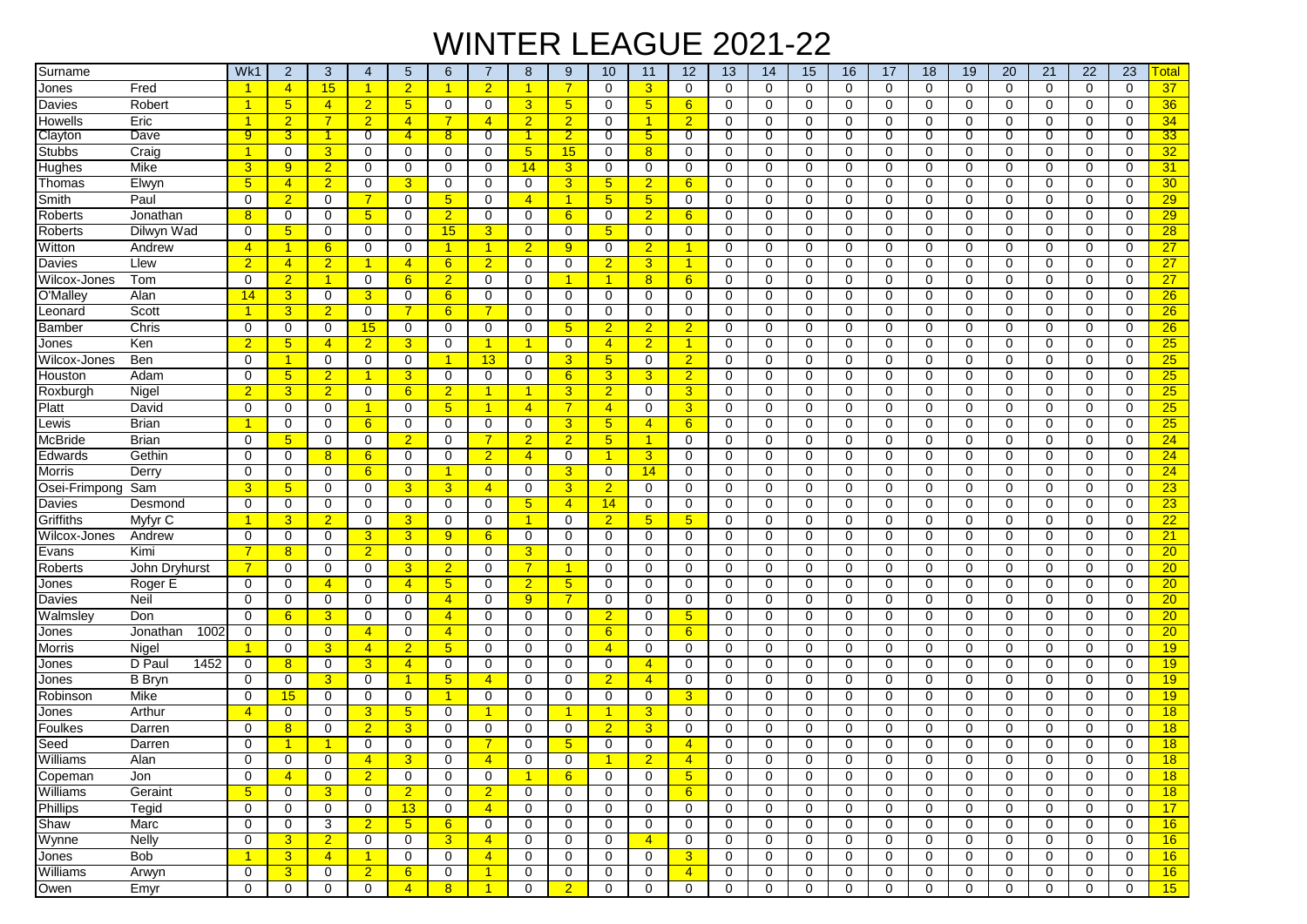## WINTER LEAGUE 2021-22

| Surname         |                  | Wk1            | $\overline{2}$       | 3              | 4                    | 5              | 6               | 7                    | 8              | 9               | 10                   | 11             | 12               | 13          | 14          | 15          | 16          | 17          | 18          | 19          | 20             | 21          | 22          | 23          | <b>Total</b>    |
|-----------------|------------------|----------------|----------------------|----------------|----------------------|----------------|-----------------|----------------------|----------------|-----------------|----------------------|----------------|------------------|-------------|-------------|-------------|-------------|-------------|-------------|-------------|----------------|-------------|-------------|-------------|-----------------|
| Jones           | Fred             | 1              | $\overline{4}$       | 15             | $\blacktriangleleft$ | $\overline{2}$ | 1               | $\overline{2}$       | 1              | $\overline{7}$  | $\mathbf 0$          | 3              | $\mathbf 0$      | $\mathbf 0$ | $\Omega$    | $\mathbf 0$ | $\mathbf 0$ | $\Omega$    | $\mathbf 0$ | $\mathbf 0$ | $\mathbf 0$    | $\mathbf 0$ | $\mathbf 0$ | $\mathbf 0$ | 37              |
| Davies          | Robert           |                | 5 <sub>5</sub>       | $\overline{4}$ | $\overline{2}$       | 5 <sup>5</sup> | 0               | $\mathbf 0$          | 3              | $5\overline{)}$ | $\mathbf 0$          | 5 <sub>5</sub> | 6                | 0           | $\mathbf 0$ | 0           | 0           | 0           | $\mathbf 0$ | $\mathbf 0$ | $\mathbf 0$    | $\mathbf 0$ | $\mathbf 0$ | 0           | 36              |
| Howells         | Eric             |                | $\overline{2}$       | $\overline{7}$ | $\overline{2}$       | $\overline{4}$ |                 | $\overline{4}$       | $\overline{2}$ | $\overline{2}$  | $\mathbf 0$          | 1              | $\overline{2}$   | 0           | 0           | 0           | 0           | $\Omega$    | 0           | 0           | $\mathbf 0$    | $\Omega$    | $\mathbf 0$ | 0           | 34              |
| Clayton         | Dave             | 9              | 3                    | 1.             | 0                    | $\overline{4}$ | 8               | 0                    |                | $\overline{2}$  | $\overline{0}$       | 5              | 0                | 0           | 0           | 0           | 0           | 0           | 0           | 0           | $\overline{0}$ | 0           | 0           | 0           | 33              |
| <b>Stubbs</b>   | Craig            |                | $\mathbf 0$          | 3              | $\Omega$             | 0              | 0               | $\mathbf 0$          | 5 <sub>5</sub> | 15              | $\mathbf 0$          | 8              | $\mathbf 0$      | 0           | 0           | 0           | 0           | 0           | $\Omega$    | $\mathbf 0$ | 0              | 0           | $\mathbf 0$ | 0           | 32              |
| Hughes          | Mike             | 3              | 9                    | $\overline{2}$ | $\mathbf 0$          | 0              | 0               | 0                    | 14             | 3               | 0                    | 0              | $\mathbf 0$      | 0           | $\mathbf 0$ | 0           | 0           | 0           | 0           | $\mathbf 0$ | $\mathbf 0$    | $\Omega$    | $\mathbf 0$ | 0           | 31              |
| Thomas          | Elwyn            | 5              | $\overline{4}$       | $\overline{2}$ | $\Omega$             | $\overline{3}$ | $\Omega$        | $\Omega$             | 0              | $\overline{3}$  | 5 <sub>5</sub>       | $\overline{2}$ | 6                | $\mathbf 0$ | $\Omega$    | 0           | 0           | $\Omega$    | $\Omega$    | $\Omega$    | $\Omega$       | $\Omega$    | 0           | $\Omega$    | 30 <sub>o</sub> |
| Smith           | Paul             | $\Omega$       | $\overline{2}$       | $\mathbf 0$    | 7                    | 0              | $5\phantom{.0}$ | 0                    | $\overline{4}$ | $\overline{1}$  | 5 <sup>5</sup>       | 5 <sub>5</sub> | 0                | 0           | $\Omega$    | 0           | 0           | $\Omega$    | 0           | $\mathbf 0$ | $\mathbf 0$    | 0           | $\mathbf 0$ | 0           | $\overline{29}$ |
| Roberts         | Jonathan         | 8              | $\mathbf 0$          | 0              | 5                    | 0              | $\overline{2}$  | 0                    | 0              | 6               | 0                    | $\overline{2}$ | $6 \overline{6}$ | 0           | 0           | 0           | 0           | 0           | 0           | 0           | 0              | 0           | 0           | 0           | 29              |
| Roberts         | Dilwyn Wad       | 0              | 5 <sup>5</sup>       | 0              | 0                    | $\mathbf 0$    | 15              | 3                    | 0              | 0               | 5 <sup>5</sup>       | $\mathbf 0$    | 0                | 0           | $\Omega$    | 0           | 0           | $\Omega$    | 0           | 0           | $\mathbf 0$    | $\Omega$    | $\mathbf 0$ | 0           | 28              |
| Witton          | Andrew           | $\overline{4}$ | $\overline{1}$       | 6              | 0                    | $\mathbf 0$    | 1               | 1                    | $\overline{2}$ | 9               | $\mathbf 0$          | $\overline{2}$ | 1                | 0           | $\mathbf 0$ | 0           | 0           | $\Omega$    | 0           | 0           | $\mathbf 0$    | 0           | $\mathbf 0$ | 0           | 27              |
| Davies          | Llew             | $\overline{2}$ | $\overline{4}$       | $\overline{2}$ | -1                   | $\overline{4}$ | 6               | $\overline{2}$       | 0              | $\mathbf 0$     | $\overline{2}$       | 3              | $\mathbf{1}$     | 0           | $\mathbf 0$ | 0           | 0           | 0           | 0           | $\mathbf 0$ | $\mathbf 0$    | 0           | 0           | 0           | $\overline{27}$ |
| Wilcox-Jones    | Tom              | 0              | $\overline{2}$       | $\overline{1}$ | $\mathbf 0$          | 6              | $\overline{2}$  | 0                    | 0              | 1               | $\blacktriangleleft$ | 8              | 6                | 0           | 0           | 0           | 0           | 0           | 0           | 0           | 0              | 0           | 0           | 0           | 27              |
| O'Malley        | Alan             | 14             | $\overline{3}$       | 0              | 3                    | 0              | 6               | $\mathbf 0$          | 0              | $\mathbf 0$     | $\mathbf 0$          | $\mathbf 0$    | $\mathbf 0$      | 0           | $\mathbf 0$ | 0           | 0           | $\Omega$    | 0           | $\mathbf 0$ | $\mathbf 0$    | $\mathbf 0$ | $\mathbf 0$ | $\mathbf 0$ | 26              |
| Leonard         | Scott            | 1              | $\overline{3}$       | $\overline{2}$ | 0                    | $\overline{7}$ | 6               | 7                    | 0              | 0               | 0                    | 0              | 0                | 0           | $\mathbf 0$ | 0           | 0           | $\Omega$    | 0           | $\mathbf 0$ | 0              | 0           | $\mathbf 0$ | 0           | 26              |
| Bamber          | Chris            | $\Omega$       | 0                    | 0              | 15                   | 0              | 0               | 0                    | 0              | 5               | $\overline{2}$       | $\overline{2}$ | $\overline{2}$   | 0           | 0           | 0           | 0           | 0           | 0           | 0           | 0              | 0           | 0           | 0           | 26              |
| Jones           | Ken              | $\overline{2}$ | 5 <sub>5</sub>       | $\overline{4}$ | $\overline{2}$       | $\overline{3}$ | 0               | $\blacktriangleleft$ | 1              | $\mathbf 0$     | $\overline{4}$       | $\overline{2}$ | $\mathbf{1}$     | $\mathbf 0$ | $\Omega$    | 0           | 0           | $\Omega$    | 0           | $\mathbf 0$ | $\mathbf 0$    | 0           | $\mathbf 0$ | 0           | 25              |
| Wilcox-Jones    | Ben              | $\Omega$       | $\blacktriangleleft$ | 0              | 0                    | $\mathbf 0$    | 1               | 13                   | 0              | 3               | 5 <sup>5</sup>       | $\mathbf 0$    | $\overline{2}$   | 0           | $\Omega$    | 0           | $\mathbf 0$ | $\Omega$    | $\Omega$    | $\Omega$    | 0              | $\Omega$    | $\mathbf 0$ | $\Omega$    | 25              |
| Houston         | Adam             | $\Omega$       | 5 <sup>5</sup>       | $\overline{2}$ | -1                   | 3 <sup>1</sup> | 0               | 0                    | $\mathbf 0$    | 6               | $\overline{3}$       | 3              | $\overline{2}$   | 0           | $\Omega$    | $\mathbf 0$ | $\mathbf 0$ | $\Omega$    | 0           | $\Omega$    | $\mathbf 0$    | 0           | $\mathbf 0$ | 0           | 25              |
| Roxburgh        | Nigel            | $\overline{2}$ | $\overline{3}$       | $\overline{2}$ | 0                    | 6              | $\overline{2}$  | -1                   | 1              | 3               | $\overline{2}$       | 0              | 3                | 0           | 0           | 0           | $\mathbf 0$ | $\Omega$    | 0           | 0           | 0              | $\Omega$    | $\mathbf 0$ | 0           | 25              |
| Platt           | David            | 0              | 0                    | $\mathbf 0$    | -1                   | $\mathbf 0$    | 5 <sup>5</sup>  | $\blacktriangleleft$ | $\overline{4}$ | $\overline{7}$  | $\overline{4}$       | 0              | 3                | 0           | $\mathbf 0$ | 0           | 0           | 0           | 0           | 0           | $\mathbf 0$    | 0           | 0           | 0           | 25              |
| Lewis           | <b>Brian</b>     |                | 0                    | 0              | 6                    | 0              | 0               | $\mathbf 0$          | $\mathbf 0$    | 3               | 5 <sub>5</sub>       | 4              | 6                | 0           | $\mathbf 0$ | 0           | 0           | $\Omega$    | 0           | $\mathbf 0$ | $\mathbf 0$    | 0           | $\mathbf 0$ | $\mathbf 0$ | 25              |
| McBride         | <b>Brian</b>     | $\Omega$       | 5 <sub>5</sub>       | 0              | $\Omega$             | $\overline{2}$ | 0               | $\overline{7}$       | $\overline{2}$ | $\overline{2}$  | 5 <sub>5</sub>       | 1              | 0                | 0           | 0           | 0           | 0           | 0           | 0           | $\mathbf 0$ | $\mathbf 0$    | 0           | 0           | 0           | 24              |
| Edwards         | Gethin           | $\Omega$       | $\mathbf 0$          | 8              | 6                    | $\mathbf 0$    | 0               | $\overline{2}$       | $\overline{4}$ | 0               | $\blacktriangleleft$ | 3              | 0                | 0           | 0           | 0           | $\mathbf 0$ | $\Omega$    | 0           | $\mathbf 0$ | 0              | $\Omega$    | $\mathbf 0$ | 0           | 24              |
| Morris          | Derry            | $\Omega$       | $\mathbf 0$          | 0              | 6                    | 0              | 1               | $\Omega$             | 0              | 3               | 0                    | 14             | $\Omega$         | 0           | $\Omega$    | 0           | 0           | $\Omega$    | $\Omega$    | $\Omega$    | $\Omega$       | $\Omega$    | 0           | $\Omega$    | 24              |
| Osei-Frimpong   | Sam              | 3              | 5 <sub>5</sub>       | 0              | 0                    | $\overline{3}$ | 3               | $\overline{4}$       | 0              | 3               | $\overline{2}$       | $\mathbf 0$    | 0                | 0           | 0           | 0           | 0           | $\Omega$    | 0           | $\mathbf 0$ | $\mathbf 0$    | 0           | $\mathbf 0$ | 0           | 23              |
| Davies          | Desmond          | 0              | $\mathbf 0$          | 0              | $\Omega$             | $\mathbf 0$    | 0               | 0                    | 5 <sub>5</sub> | $\overline{4}$  | 14                   | 0              | 0                | 0           | $\Omega$    | 0           | 0           | $\Omega$    | $\Omega$    | 0           | 0              | $\Omega$    | 0           | 0           | 23              |
| Griffiths       | Myfyr C          |                | $\overline{3}$       | $\overline{2}$ | $\mathbf 0$          | 3 <sup>5</sup> | 0               | 0                    | 1              | $\mathbf 0$     | $\overline{2}$       | 5 <sup>5</sup> | 5                | $\mathbf 0$ | $\mathbf 0$ | $\mathbf 0$ | 0           | 0           | 0           | 0           | $\mathbf 0$    | 0           | $\mathbf 0$ | 0           | 22              |
| Wilcox-Jones    | Andrew           | $\Omega$       | $\mathbf 0$          | 0              | 3                    | $\overline{3}$ | 9               | 6                    | $\mathbf 0$    | $\mathbf 0$     | $\mathbf 0$          | $\mathbf 0$    | $\mathbf 0$      | 0           | $\mathbf 0$ | 0           | $\mathbf 0$ | $\Omega$    | $\mathbf 0$ | $\mathbf 0$ | $\mathbf 0$    | $\mathbf 0$ | $\mathbf 0$ | $\mathbf 0$ | 21              |
| Evans           | Kimi             | 7              | 8                    | 0              | $\overline{2}$       | $\mathbf 0$    | 0               | 0                    | $\overline{3}$ | $\mathbf 0$     | $\mathbf 0$          | 0              | 0                | 0           | $\mathbf 0$ | 0           | 0           | 0           | 0           | $\mathbf 0$ | $\mathbf 0$    | 0           | 0           | 0           | 20              |
| Roberts         | John Dryhurst    |                | 0                    | 0              | $\mathbf 0$          | $\overline{3}$ | $\overline{2}$  | 0                    | $\overline{7}$ | 1               | 0                    | 0              | 0                | 0           | 0           | 0           | 0           | 0           | 0           | 0           | $\mathbf 0$    | 0           | $\mathbf 0$ | 0           | 20              |
| Jones           | Roger E          | $\Omega$       | $\mathbf 0$          | $\overline{4}$ | $\mathbf 0$          | $\overline{4}$ | 5 <sub>5</sub>  | $\mathbf 0$          | $\overline{2}$ | $5\overline{)}$ | $\mathbf 0$          | 0              | $\Omega$         | 0           | $\mathbf 0$ | $\mathbf 0$ | 0           | $\Omega$    | $\mathbf 0$ | $\mathbf 0$ | $\mathbf 0$    | $\mathbf 0$ | $\mathbf 0$ | $\mathbf 0$ | 20              |
| Davies          | Neil             | $\Omega$       | 0                    | 0              | 0                    | $\mathbf 0$    | $\overline{4}$  | $\Omega$             | 9              | $\overline{7}$  | 0                    | $\mathbf 0$    | 0                | 0           | $\Omega$    | 0           | 0           | $\Omega$    | 0           | $\mathbf 0$ | 0              | 0           | $\mathbf 0$ | 0           | 20 <sub>2</sub> |
| Walmsley        | Don              | $\Omega$       | 6                    | 3              | $\Omega$             | 0              | 4               | 0                    | 0              | 0               | $\overline{2}$       | 0              | $\sqrt{5}$       | 0           | 0           | 0           | 0           | 0           | 0           | 0           | 0              | 0           | 0           | 0           | 20              |
| Jones           | Jonathan<br>1002 | 0              | 0                    | $\mathbf 0$    | $\overline{4}$       | $\mathbf 0$    | $\overline{4}$  | 0                    | 0              | 0               | 6                    | $\mathbf 0$    | 6                | $\mathbf 0$ | $\mathbf 0$ | 0           | $\mathbf 0$ | 0           | 0           | $\mathbf 0$ | 0              | 0           | $\mathbf 0$ | 0           | 20              |
| Morris          | Nigel            |                | $\Omega$             | 3              | $\overline{4}$       | $\overline{2}$ | 5               | $\Omega$             | 0              | $\Omega$        | $\overline{4}$       | 0              | 0                | 0           | $\Omega$    | 0           | 0           | $\Omega$    | $\Omega$    | $\Omega$    | $\mathbf 0$    | $\Omega$    | $\mathbf 0$ | $\Omega$    | 19              |
| Jones           | D Paul<br>1452   | 0              | 8                    | 0              | 3                    | $\overline{4}$ | 0               | 0                    | 0              | 0               | 0                    | $\overline{4}$ | 0                | $\mathbf 0$ | 0           | 0           | 0           | 0           | 0           | 0           | 0              | 0           | $\mathbf 0$ | 0           | 19              |
| Jones           | <b>B</b> Bryn    | $\Omega$       | $\mathbf 0$          | 3              | 0                    | $\mathbf{1}$   | 5               | $\overline{4}$       | 0              | 0               | $\overline{2}$       | $\overline{4}$ | 0                | $\mathbf 0$ | 0           | 0           | $\mathbf 0$ | 0           | 0           | 0           | 0              | 0           | $\mathbf 0$ | 0           | 19              |
| Robinson        | Mike             | $\Omega$       | 15                   | 0              | $\Omega$             | 0              | 1               | $\mathbf 0$          | 0              | $\mathbf 0$     | $\mathbf 0$          | 0              | 3                | 0           | $\mathbf 0$ | 0           | 0           | $\Omega$    | 0           | $\mathbf 0$ | $\mathbf 0$    | $\mathbf 0$ | $\mathbf 0$ | 0           | 19              |
| Jones           | Arthur           | 4              | 0                    | 0              | 3                    | 5 <sub>5</sub> | 0               | -1                   | 0              | 1               | $\blacktriangleleft$ | 3              | 0                | 0           | 0           | 0           | 0           | $\Omega$    | 0           | 0           | $\mathbf 0$    | $\Omega$    | 0           | 0           | 18              |
| Foulkes         | Darren           | ∩              | 8                    | 0              | $\overline{2}$       | $\mathbf{3}$   | 0               | 0                    | 0              | 0               | $\overline{2}$       | 3              | 0                | $\Omega$    | 0           | 0           | 0           | 0           | $\Omega$    | 0           | 0              | $\Omega$    | 0           | 0           | 18              |
| Seed            | Darren           | 0              | $\overline{1}$       | 1              | $\mathbf 0$          | 0              | 0               | 7                    | 0              | 5               | $\mathbf 0$          | 0              | $\overline{4}$   | 0           | 0           | 0           | 0           | $\Omega$    | 0           | 0           | 0              | 0           | 0           | 0           | 18              |
| Williams        | Alan             | $\overline{0}$ | 0                    | 0              | $\overline{4}$       | 3              | 0               | $\overline{4}$       | 0              | 0               |                      | $\overline{2}$ | $\overline{4}$   | 0           | 0           | 0           | 0           | 0           | 0           | 0           | 0              | 0           | 0           | 0           | 18              |
| Copeman         | Jon              | $\mathbf 0$    | $\overline{4}$       | 0              | $\overline{2}$       | 0              | 0               | $\mathbf 0$          |                | 6               | 0                    | $\mathbf 0$    | 5 <sup>5</sup>   | 0           | $\mathbf 0$ | 0           | 0           | 0           | 0           | $\mathbf 0$ | $\mathbf 0$    | $\mathbf 0$ | $\mathbf 0$ | 0           | 18              |
| Williams        | Geraint          | 5 <sup>5</sup> | 0                    | 3 <sup>1</sup> | 0                    | $\overline{2}$ | 0               | $\overline{2}$       | 0              | 0               | 0                    | $\mathbf 0$    | 6                | 0           | 0           | 0           | 0           | 0           | 0           | 0           | 0              | 0           | 0           | 0           | 18              |
| <b>Phillips</b> | Tegid            | $\mathbf 0$    | 0                    | $\mathbf{0}$   | 0                    | 13             | 0               | $\overline{4}$       | $\mathbf 0$    | $\mathbf 0$     | $\mathbf 0$          | $\mathbf 0$    | $\mathbf 0$      | 0           | $\mathbf 0$ | 0           | 0           | 0           | 0           | $\mathbf 0$ | $\mathbf 0$    | 0           | $\mathbf 0$ | 0           | 17              |
| Shaw            | Marc             | $\mathbf 0$    | 0                    | 3              | $\overline{2}$       | 5 <sup>5</sup> | 6               | 0                    | 0              | $\mathbf 0$     | $\mathbf 0$          | 0              | $\mathbf 0$      | 0           | $\mathbf 0$ | $\mathbf 0$ | 0           | 0           | 0           | $\mathbf 0$ | $\mathbf 0$    | 0           | $\mathbf 0$ | $\mathbf 0$ | 16              |
| Wynne           | <b>Nelly</b>     | $\mathbf 0$    | $\overline{3}$       | 2 <sub>1</sub> | 0                    | $\mathbf 0$    | 3               | $\overline{4}$       | 0              | 0               | 0                    | $\overline{4}$ | 0                | 0           | $\mathbf 0$ | 0           | 0           | 0           | 0           | $\mathbf 0$ | 0              | 0           | 0           | 0           | 16              |
| Jones           | Bob              | 1              | 3 <sup>5</sup>       | $\overline{4}$ |                      | 0              | 0               | $\overline{4}$       | 0              | 0               | 0                    | 0              | 3                | 0           | 0           | 0           | 0           | 0           | 0           | 0           | $\mathbf 0$    | 0           | 0           | 0           | 16              |
| Williams        | Arwyn            | $\mathbf 0$    | 3 <sup>5</sup>       | 0              | $\overline{2}$       | $6^{\circ}$    | 0               | $\blacktriangleleft$ | 0              | 0               | 0                    | 0              | $\overline{4}$   | 0           | 0           | 0           | 0           | 0           | 0           | 0           | 0              | 0           | 0           | 0           | 16              |
| Owen            | Emyr             | 0              | 0                    | 0              | 0                    | $\overline{4}$ | 8 <sup>2</sup>  | $\overline{1}$       | 0              | $\overline{2}$  | 0                    | 0              | 0                | 0           | $\mathbf 0$ | 0           | 0           | $\mathbf 0$ | 0           | $\mathbf 0$ | 0              | 0           | 0           | 0           | 15              |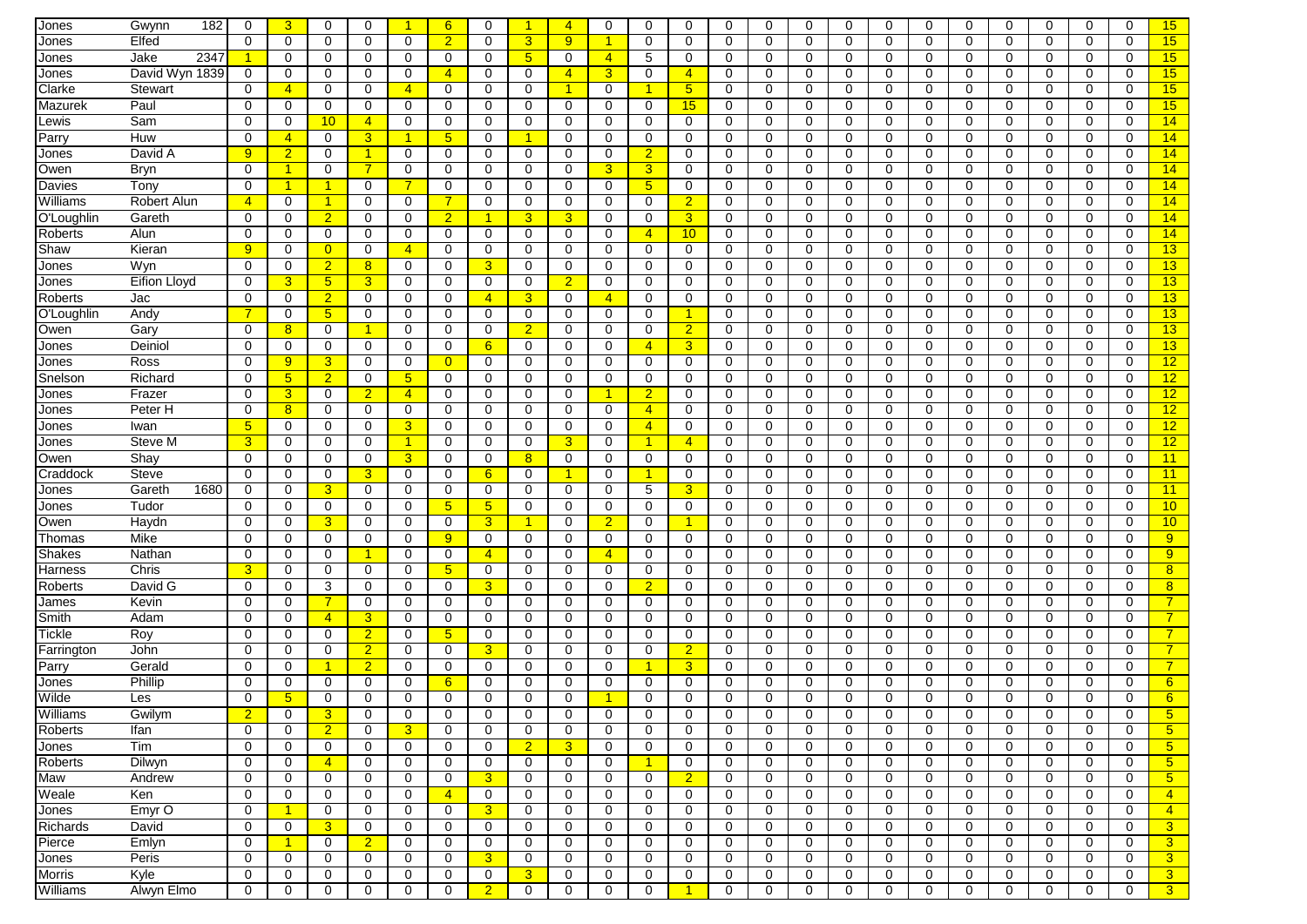| Jones          | 182<br>Gwynn   | 0              | $\overline{3}$  | $\Omega$        | $\Omega$       | 1                    | 6              | $\Omega$             | 1               | $\overline{4}$ | $\mathbf 0$          | $\Omega$       | $\mathbf 0$          | $\mathbf 0$ | $\Omega$    | $\mathbf 0$ | $\mathbf 0$ | $\Omega$    | $\mathbf 0$ | $\Omega$    | $\mathbf 0$ | 0           | $\Omega$    | $\Omega$    | 15              |
|----------------|----------------|----------------|-----------------|-----------------|----------------|----------------------|----------------|----------------------|-----------------|----------------|----------------------|----------------|----------------------|-------------|-------------|-------------|-------------|-------------|-------------|-------------|-------------|-------------|-------------|-------------|-----------------|
| Jones          | Elfed          | $\Omega$       | $\Omega$        | $\Omega$        | $\Omega$       | 0                    | $\overline{2}$ | $\Omega$             | $\overline{3}$  | 9              | $\blacktriangleleft$ | $\Omega$       | $\Omega$             | $\Omega$    | $\Omega$    | $\Omega$    | $\Omega$    | $\Omega$    | 0           | $\Omega$    | $\Omega$    | $\Omega$    | $\Omega$    | $\Omega$    | 15              |
| Jones          | 2347<br>Jake   |                | 0               | 0               | 0              | 0                    | 0              | 0                    | $5\phantom{.0}$ | 0              | $\overline{4}$       | 5              | 0                    | 0           | 0           | 0           | 0           | 0           | 0           | 0           | 0           | 0           | 0           | 0           | 15              |
| Jones          | David Wyn 1839 | 0              | 0               | 0               | 0              | 0                    | 4              | 0                    | 0               | 4              | $\overline{3}$       | 0              | $\overline{4}$       | 0           | 0           | 0           | 0           | 0           | $\mathbf 0$ | 0           | 0           | 0           | 0           | 0           | 15              |
| Clarke         | Stewart        | 0              | $\overline{4}$  | 0               | 0              | $\overline{4}$       | 0              | 0                    | $\mathbf 0$     | 1              | $\mathbf 0$          |                | 5                    | 0           | $\mathbf 0$ | 0           | 0           | 0           | $\mathbf 0$ | 0           | $\mathbf 0$ | 0           | 0           | 0           | 15              |
| Mazurek        | Paul           | 0              | $\mathbf 0$     | 0               | 0              | $\mathbf 0$          | 0              | 0                    | 0               | $\mathbf 0$    | 0                    | 0              | 15                   | 0           | $\mathbf 0$ | 0           | 0           | 0           | 0           | 0           | $\mathbf 0$ | 0           | 0           | 0           | 15              |
|                |                | $\Omega$       |                 |                 |                |                      |                |                      |                 |                |                      |                |                      |             |             |             |             |             |             |             |             |             |             |             |                 |
| Lewis          | Sam            |                | $\mathbf 0$     | 10              | $\overline{4}$ | 0                    | 0              | $\mathbf 0$          | 0               | $\mathbf 0$    | 0                    | 0              | $\mathbf 0$          | 0           | $\mathbf 0$ | 0           | 0           | $\mathbf 0$ | 0           | 0           | $\mathbf 0$ | $\Omega$    | $\mathbf 0$ | 0           | 14              |
| Parry          | Huw            | 0              | $\overline{4}$  | 0               | 3              | 1                    | 5              | 0                    | 1               | 0              | 0                    | 0              | 0                    | 0           | 0           | 0           | 0           | 0           | 0           | 0           | 0           | 0           | 0           | 0           | 14              |
| Jones          | David A        | 9              | $\overline{2}$  | 0               | $\overline{1}$ | 0                    | $\Omega$       | $\Omega$             | 0               | 0              | 0                    | $\overline{2}$ | 0                    | 0           | $\Omega$    | 0           | 0           | $\Omega$    | $\mathbf 0$ | $\Omega$    | 0           | 0           | $\Omega$    | $\Omega$    | 14              |
| Owen           | Bryn           | 0              | $\mathbf{1}$    | 0               | $\overline{7}$ | 0                    | 0              | 0                    | 0               | 0              | $\mathbf{3}$         | 3              | 0                    | 0           | 0           | 0           | $\mathbf 0$ | 0           | 0           | 0           | 0           | 0           | 0           | 0           | 14              |
| Davies         | Tonv           | $\Omega$       | $\mathbf{1}$    | $\mathbf{1}$    | 0              | 7                    | 0              | 0                    | 0               | 0              | $\mathbf 0$          | 5              | 0                    | 0           | 0           | $\mathbf 0$ | 0           | 0           | $\mathbf 0$ | 0           | 0           | 0           | 0           | 0           | 14              |
| Williams       | Robert Alun    | $\overline{4}$ | $\mathbf 0$     | $\mathbf{1}$    | 0              | 0                    |                | 0                    | $\mathbf 0$     | 0              | $\mathbf 0$          | 0              | $\overline{2}$       | 0           | 0           | 0           | $\mathbf 0$ | 0           | $\mathbf 0$ | 0           | $\mathbf 0$ | 0           | 0           | 0           | 14              |
| O'Loughlin     | Gareth         | $\Omega$       | $\mathbf 0$     | $\overline{2}$  | $\Omega$       | 0                    | $\overline{2}$ | $\blacktriangleleft$ | 3               | 3              | $\mathbf 0$          | $\Omega$       | $\overline{3}$       | 0           | 0           | $\mathbf 0$ | $\mathbf 0$ | 0           | $\mathbf 0$ | 0           | 0           | 0           | $\Omega$    | 0           | 14              |
| Roberts        | Alun           | $\Omega$       | $\mathbf 0$     | 0               | 0              | 0                    | 0              | $\mathbf 0$          | $\mathbf 0$     | 0              | 0                    | 4              | 10                   | 0           | $\mathbf 0$ | $\mathbf 0$ | 0           | 0           | 0           | $\mathbf 0$ | $\mathbf 0$ | 0           | 0           | 0           | 14              |
| Shaw           | Kieran         | 9              | 0               | $\overline{0}$  | 0              | $\overline{4}$       | 0              | 0                    | 0               | 0              | 0                    | $\Omega$       | 0                    | 0           | 0           | 0           | 0           | 0           | 0           | 0           | $\mathbf 0$ | 0           | 0           | 0           | 13              |
| Jones          | Wyn            | 0              | $\mathbf 0$     | $\overline{2}$  | $\overline{8}$ | 0                    | 0              | $\overline{3}$       | 0               | $\mathbf 0$    | 0                    | 0              | $\mathbf 0$          | 0           | $\mathbf 0$ | 0           | 0           | 0           | 0           | $\mathbf 0$ | $\mathbf 0$ | 0           | 0           | 0           | 13              |
| Jones          | Eifion Lloyd   | $\Omega$       | 3               | $5\phantom{.0}$ | 3              | 0                    | 0              | 0                    | 0               | $\overline{2}$ | $\mathbf 0$          | $\Omega$       | 0                    | 0           | $\Omega$    | 0           | $\mathbf 0$ | $\Omega$    | 0           | $\Omega$    | 0           | 0           | $\Omega$    | 0           | 13              |
| Roberts        | Jac            | 0              | 0               | $\overline{2}$  | 0              | 0                    | 0              | $\overline{4}$       | 3               | 0              | $\overline{4}$       | 0              | 0                    | 0           | 0           | 0           | 0           | 0           | 0           | 0           | 0           | 0           | 0           | $\Omega$    | 13              |
| O'Loughlin     | Andy           |                | $\mathbf 0$     | $5\overline{)}$ | 0              | 0                    | 0              | 0                    | $\mathbf 0$     | 0              | $\mathbf 0$          | 0              | -1                   | 0           | 0           | 0           | $\mathbf 0$ | 0           | $\mathbf 0$ | 0           | 0           | 0           | 0           | 0           | 13              |
| Owen           | Garv           | $\Omega$       | 8               | 0               | -1             | 0                    | $\Omega$       | $\Omega$             | $\overline{2}$  | $\Omega$       | $\mathbf 0$          | $\Omega$       | $\overline{2}$       | 0           | $\Omega$    | 0           | 0           | $\Omega$    | 0           | $\Omega$    | $\Omega$    | $\Omega$    | $\Omega$    | $\Omega$    | 13              |
| Jones          | Deiniol        | $\Omega$       | $\mathbf 0$     | 0               | 0              | 0                    | 0              | 6                    | $\mathbf 0$     | 0              | 0                    | 4              | 3                    | 0           | $\mathbf 0$ | $\mathbf 0$ | 0           | 0           | $\mathbf 0$ | 0           | $\mathbf 0$ | 0           | 0           | 0           | 13              |
| Jones          | Ross           | $\Omega$       | 9               | 3               | 0              | 0                    | $\overline{0}$ | 0                    | 0               | 0              | $\mathbf 0$          | 0              | 0                    | 0           | 0           | 0           | 0           | 0           | $\mathbf 0$ | 0           | 0           | 0           | 0           | 0           | 12              |
| Snelson        | Richard        | $\Omega$       | $5\overline{)}$ | $\overline{2}$  | $\mathbf 0$    | 5 <sup>5</sup>       | 0              | $\mathbf 0$          | 0               | 0              | 0                    | 0              | $\mathbf 0$          | 0           | $\mathbf 0$ | 0           | 0           | 0           | $\mathbf 0$ | $\mathbf 0$ | $\mathbf 0$ | 0           | 0           | 0           | 12              |
| Jones          | Frazer         | 0              | $\overline{3}$  | 0               | $\overline{2}$ | $\overline{4}$       | 0              | $\mathbf 0$          | 0               | $\mathbf 0$    | 1                    | $\overline{2}$ | $\mathbf 0$          | 0           | $\mathbf 0$ | 0           | 0           | $\Omega$    | 0           | 0           | $\mathbf 0$ | $\mathbf 0$ | 0           | 0           | 12              |
| Jones          | Peter H        | $\Omega$       | 8               | 0               | 0              | 0                    | 0              | 0                    | 0               | 0              | 0                    | 4              | 0                    | 0           | 0           | 0           | 0           | 0           | $\mathbf 0$ | 0           | 0           | 0           | 0           | $\Omega$    | 12              |
| Jones          | Iwan           | 5              | 0               | 0               | 0              | 3                    | 0              | 0                    | 0               | 0              | 0                    | $\overline{4}$ | 0                    | 0           | 0           | 0           | 0           | $\Omega$    | 0           | 0           | 0           | 0           | 0           | 0           | 12              |
| Jones          | Steve M        | 3              | $\Omega$        | $\Omega$        | $\Omega$       | $\blacktriangleleft$ | $\Omega$       | $\Omega$             | $\mathbf 0$     | 3              | $\mathbf 0$          | 4              | $\overline{4}$       | 0           | $\Omega$    | $\mathbf 0$ | 0           | $\Omega$    | $\mathbf 0$ | $\Omega$    | 0           | 0           | $\Omega$    | $\Omega$    | 12              |
| Owen           | Shay           | $\Omega$       | $\mathbf 0$     | 0               | 0              | $\overline{3}$       | 0              | $\Omega$             | 8               | 0              | $\mathbf 0$          | 0              | 0                    | 0           | 0           | 0           | $\mathbf 0$ | 0           | $\mathbf 0$ | 0           | 0           | 0           | 0           | 0           | 11              |
| Craddock       | <b>Steve</b>   | $\Omega$       | 0               | 0               | 3              | 0                    | 0              | 6                    | 0               | 1              | $\mathbf 0$          | 4              | 0                    | 0           | 0           | 0           | 0           | 0           | $\mathbf 0$ | 0           | 0           | 0           | $\Omega$    | $\Omega$    | 11              |
| Jones          | Gareth<br>1680 | 0              | 0               | 3 <sup>5</sup>  | 0              | $\mathbf 0$          | 0              | 0                    | $\mathbf 0$     | 0              | $\mathbf 0$          | 5              | 3                    | 0           | 0           | 0           | $\mathbf 0$ | 0           | $\mathbf 0$ | 0           | 0           | 0           | 0           | 0           | 11              |
| Jones          | Tudor          | $\Omega$       | 0               | 0               | 0              | 0                    | 5              | $5\overline{)}$      | 0               | 0              | $\mathbf 0$          | 0              | 0                    | 0           | 0           | 0           | $\mathbf 0$ | 0           | $\mathbf 0$ | 0           | 0           | 0           | 0           | 0           | 10              |
| Owen           | Haydn          | $\Omega$       | $\mathbf 0$     | 3               | $\mathbf 0$    | 0                    | 0              | $\overline{3}$       | 1               | $\mathbf 0$    | $\overline{2}$       | 0              | $\mathbf{1}$         | 0           | 0           | 0           | 0           | 0           | 0           | 0           | $\mathbf 0$ | 0           | 0           | 0           | 10              |
| Thomas         | Mike           | 0              | 0               | 0               | 0              | 0                    | 9              | 0                    | $\mathbf 0$     | 0              | 0                    | 0              | $\mathbf 0$          | 0           | 0           | 0           | 0           | 0           | 0           | 0           | $\mathbf 0$ | 0           | 0           | 0           | 9               |
| Shakes         | Nathan         | $\Omega$       | 0               | 0               | $\overline{1}$ | 0                    | $\Omega$       | $\overline{4}$       | 0               | 0              | $\overline{4}$       | $\Omega$       | 0                    | 0           | $\Omega$    | $\mathbf 0$ | 0           | $\Omega$    | $\mathbf 0$ | $\mathbf 0$ | 0           | 0           | $\Omega$    | $\Omega$    | 9               |
| Harness        | Chris          | 3              | $\mathbf 0$     | 0               | 0              | 0                    | $\sqrt{5}$     | 0                    | 0               | 0              | 0                    | $\Omega$       | 0                    | 0           | $\Omega$    | 0           | 0           | $\Omega$    | 0           | $\Omega$    | 0           | 0           | $\Omega$    | 0           | 8               |
| Roberts        | David G        | 0              | 0               | 3               | 0              | 0                    | 0              | 3                    | 0               | 0              | 0                    | $\overline{2}$ | 0                    | 0           | 0           | 0           | 0           | 0           | 0           | 0           | 0           | 0           | 0           | 0           | 8               |
| James          | Kevin          | 0              | $\mathbf 0$     | $\overline{7}$  | 0              | 0                    | 0              | 0                    | 0               | 0              | $\mathbf 0$          | 0              | 0                    | 0           | 0           | 0           | $\mathbf 0$ | 0           | $\mathbf 0$ | $\Omega$    | 0           | 0           | 0           | 0           | $\overline{7}$  |
| Smith          | Adam           | $\Omega$       | $\mathbf 0$     | $\overline{4}$  | 3              | 0                    | $\mathbf 0$    | 0                    | $\mathbf 0$     | $\mathbf 0$    | $\mathbf 0$          | $\Omega$       | $\mathbf 0$          | 0           | $\mathbf 0$ | $\mathbf 0$ | $\mathbf 0$ | $\mathbf 0$ | $\mathbf 0$ | 0           | $\mathbf 0$ | 0           | $\Omega$    | $\mathbf 0$ | $\overline{7}$  |
| <b>Tickle</b>  | Roy            | $\Omega$       | 0               | 0               | $\overline{2}$ | 0                    | 5              | 0                    | 0               | 0              | 0                    | 0              | 0                    | 0           | $\mathbf 0$ | 0           | 0           | 0           | $\mathbf 0$ | 0           | 0           | 0           | 0           | 0           | $\overline{7}$  |
| Farrington     | John           | $\Omega$       | 0               | 0               | $\overline{2}$ | 0                    | 0              | 3                    | 0               | 0              | $\mathbf 0$          | 0              | $\overline{2}$       | 0           | 0           | 0           | 0           | 0           | $\mathbf 0$ | 0           | 0           | 0           | 0           | 0           | $\overline{7}$  |
| Parry          | Gerald         | $\Omega$       | $\mathbf 0$     | 1               | $\overline{2}$ | $\mathbf 0$          | 0              | $\mathbf 0$          | 0               | $\Omega$       | $\mathbf 0$          |                | 3                    | 0           | $\mathbf 0$ | $\mathbf 0$ | $\Omega$    | 0           | 0           | 0           | $\mathbf 0$ | $\Omega$    | $\Omega$    | 0           | $\overline{7}$  |
| Jones          | Phillip        | 0              | $\mathbf 0$     | 0               | $\mathbf 0$    | 0                    | 6              | $\mathbf 0$          | 0               | $\mathbf 0$    | 0                    | $\Omega$       | $\mathbf 0$          | 0           | $\mathbf 0$ | 0           | 0           | $\Omega$    | 0           | 0           | $\mathbf 0$ | 0           | 0           | 0           | 6               |
| Wilde          | Les            | $\Omega$       | 5               | 0               | 0              | 0                    | 0              | $\Omega$             | 0               | $\Omega$       | 1                    | 0              | $\Omega$             | 0           | $\Omega$    | 0           | 0           | 0           | 0           | 0           | $\Omega$    | 0           | $\Omega$    | $\Omega$    | 6               |
| Williams       | Gwilym         | 2              | $\cup$          | 3.              | U              | U                    | U              | $\cup$               | $\cup$          | U              | U                    | U              | U                    | $\cup$      | U           | U           | $\cup$      | U           | U           | 0           | O           | $\cup$      | U           | U           | $\mathbf{b}$    |
| <b>Roberts</b> | Ifan           | $\mathbf 0$    | $\mathbf 0$     | $\overline{2}$  | $\mathbf 0$    | 3                    | $\mathbf 0$    | $\mathbf 0$          | $\mathbf 0$     | $\mathbf 0$    | $\mathbf 0$          | 0              | 0                    | $\mathbf 0$ | $\mathbf 0$ | $\mathbf 0$ | $\mathbf 0$ | $\mathbf 0$ | 0           | $\mathbf 0$ | $\mathbf 0$ | $\mathbf 0$ | 0           | $\mathbf 0$ | 5 <sub>5</sub>  |
| Jones          | Tim            | $\mathbf 0$    | $\mathbf 0$     | 0               | 0              | $\mathbf 0$          | 0              | $\mathbf 0$          | 2 <sup>2</sup>  | 3              | 0                    | 0              | 0                    | $\mathbf 0$ | $\mathbf 0$ | 0           | 0           | $\mathbf 0$ | 0           | $\mathbf 0$ | 0           | 0           | 0           | 0           | $5\overline{)}$ |
| <b>Roberts</b> | Dilwyn         | 0              | $\mathbf 0$     | $\overline{4}$  | 0              | 0                    | 0              | $\mathbf 0$          | 0               | 0              | 0                    | 1              | $\mathbf 0$          | $\mathbf 0$ | 0           | 0           | 0           | 0           | 0           | $\mathbf 0$ | 0           | 0           | 0           | 0           | 5 <sub>5</sub>  |
| Maw            | Andrew         | 0              | $\mathbf 0$     | $\mathbf 0$     | $\mathbf 0$    | $\mathbf 0$          | 0              | 3 <sup>5</sup>       | $\mathbf 0$     | 0              | 0                    | 0              | 2 <sup>1</sup>       | $\mathbf 0$ | $\mathbf 0$ | 0           | 0           | 0           | 0           | $\mathbf 0$ | 0           | 0           | $\mathbf 0$ | 0           | $5\overline{)}$ |
| Weale          | Ken            | $\mathbf 0$    | $\mathbf 0$     | 0               | 0              | $\mathbf 0$          | $\overline{4}$ | $\mathbf 0$          | $\mathbf 0$     | 0              | 0                    | 0              | $\mathbf 0$          | 0           | $\mathbf 0$ | 0           | 0           | $\mathbf 0$ | 0           | $\mathbf 0$ | $\mathbf 0$ | 0           | 0           | 0           | $\overline{4}$  |
| Jones          | Emyr O         | 0              | $\overline{1}$  | 0               | 0              | 0                    | 0              | 3 <sup>5</sup>       | 0               | 0              | 0                    | 0              | $\mathbf 0$          | 0           | 0           | 0           | 0           | $\mathbf 0$ | 0           | 0           | 0           | 0           | 0           | 0           | $\overline{4}$  |
| Richards       | David          | 0              | 0               | $\overline{3}$  | 0              | 0                    | 0              | $\mathbf 0$          | 0               | 0              | 0                    | 0              | 0                    | 0           | 0           | 0           | 0           | 0           | 0           | 0           | 0           | 0           | $\mathbf 0$ | 0           | 3 <sup>5</sup>  |
| Pierce         | Emlyn          | $\mathbf 0$    | $\overline{1}$  | $\mathbf 0$     | $\overline{2}$ | 0                    | 0              | 0                    | $\mathbf 0$     | 0              | 0                    | 0              | 0                    | 0           | 0           | 0           | 0           | 0           | 0           | $\mathbf 0$ | 0           | 0           | 0           | 0           | 3               |
| Jones          | Peris          | 0              | $\mathbf 0$     | 0               | $\mathbf 0$    | 0                    | 0              | 3 <sup>5</sup>       | $\mathbf 0$     | 0              | 0                    | 0              | 0                    | 0           | $\mathbf 0$ | 0           | 0           | 0           | 0           | $\mathbf 0$ | 0           | 0           | 0           | 0           | 3 <sup>2</sup>  |
| Morris         | Kyle           | 0              | 0               | 0               | 0              | 0                    | 0              | 0                    | 3               | 0              | 0                    | 0              | 0                    | 0           | 0           | 0           | 0           | 0           | 0           | 0           | 0           | 0           | 0           | 0           | 3 <sup>2</sup>  |
| Williams       | Alwyn Elmo     | 0              | 0               | 0               | $\mathbf 0$    | $\mathbf 0$          | 0              | 2 <sup>2</sup>       | 0               | 0              | $\mathbf 0$          | 0              | $\blacktriangleleft$ | 0           | $\mathbf 0$ | $\mathbf 0$ | 0           | 0           | 0           | $\mathbf 0$ | 0           | 0           | 0           | 0           | $\overline{3}$  |
|                |                |                |                 |                 |                |                      |                |                      |                 |                |                      |                |                      |             |             |             |             |             |             |             |             |             |             |             |                 |